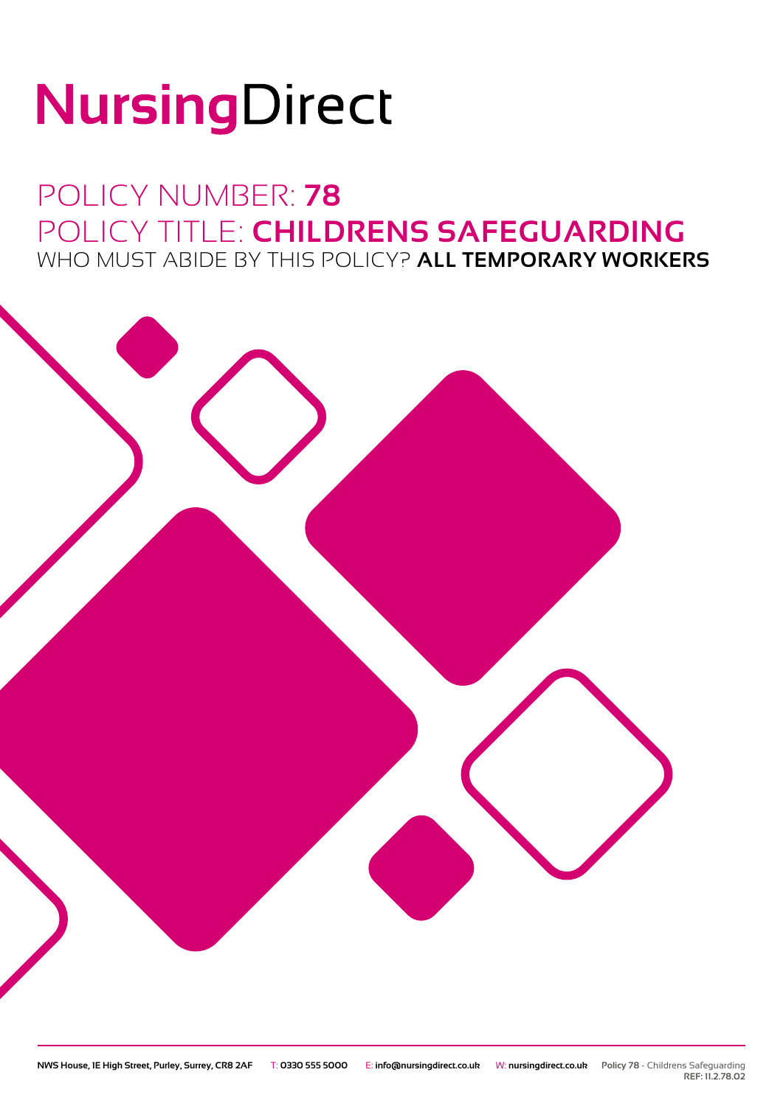# NursingDirect

## POLICY NUMBER: **78** POLICY TITLE: **CHILDRENS SAFEGUARDING** WHO MUST ABIDE BY THIS POLICY? **ALL TEMPORARY WORKERS**



**REF: 11.2.78.02**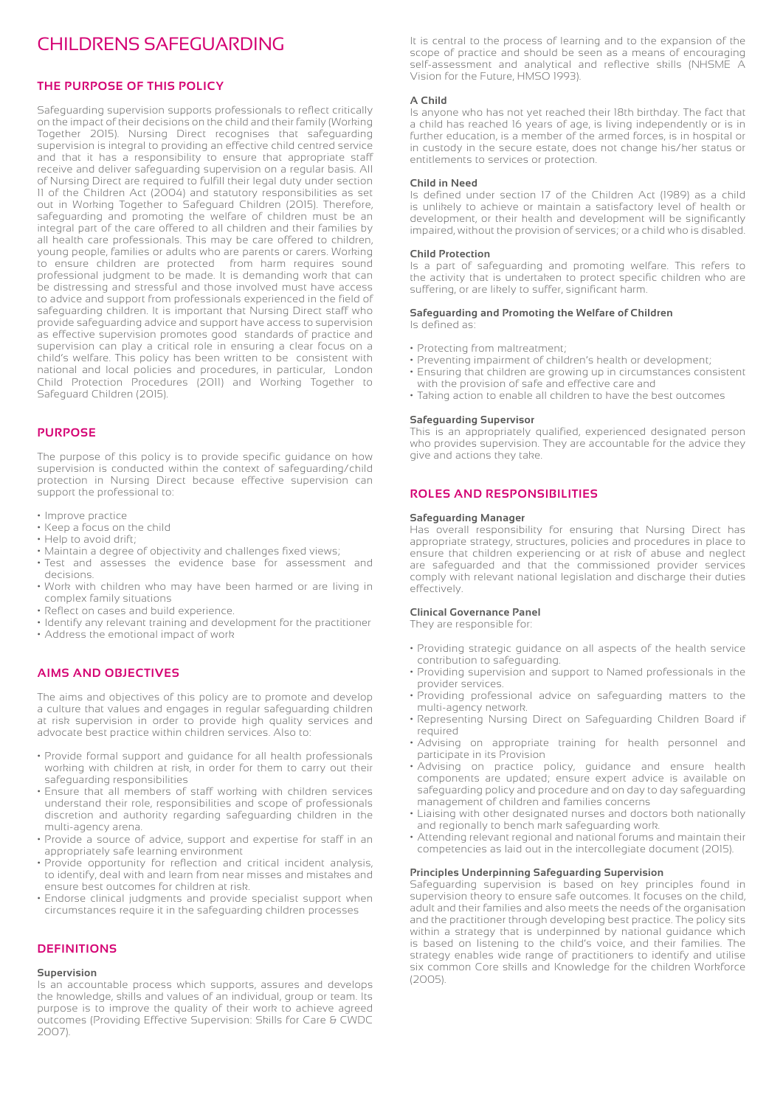### CHILDRENS SAFEGUARDING

#### **THE PURPOSE OF THIS POLICY**

Safeguarding supervision supports professionals to reflect critically on the impact of their decisions on the child and their family (Working Together 2015). Nursing Direct recognises that safeguarding supervision is integral to providing an effective child centred service and that it has a responsibility to ensure that appropriate staff receive and deliver safeguarding supervision on a regular basis. All of Nursing Direct are required to fulfill their legal duty under section 11 of the Children Act (2004) and statutory responsibilities as set out in Working Together to Safeguard Children (2015). Therefore, safeguarding and promoting the welfare of children must be an integral part of the care offered to all children and their families by all health care professionals. This may be care offered to children, young people, families or adults who are parents or carers. Working to ensure children are protected from harm requires sound professional judgment to be made. It is demanding work that can be distressing and stressful and those involved must have access to advice and support from professionals experienced in the field of safeguarding children. It is important that Nursing Direct staff who provide safeguarding advice and support have access to supervision as effective supervision promotes good standards of practice and supervision can play a critical role in ensuring a clear focus on a child's welfare. This policy has been written to be consistent with national and local policies and procedures, in particular, London Child Protection Procedures (2011) and Working Together to Safeguard Children (2015).

#### **PURPOSE**

The purpose of this policy is to provide specific guidance on how supervision is conducted within the context of safeguarding/child protection in Nursing Direct because effective supervision can support the professional to:

- Improve practice
- Keep a focus on the child
- Help to avoid drift;
- Maintain a degree of objectivity and challenges fixed views;
- Test and assesses the evidence base for assessment and decisions.
- Work with children who may have been harmed or are living in complex family situations
- Reflect on cases and build experience.
- Identify any relevant training and development for the practitioner
- Address the emotional impact of work

#### **AIMS AND OBJECTIVES**

The aims and objectives of this policy are to promote and develop a culture that values and engages in regular safeguarding children at risk supervision in order to provide high quality services and advocate best practice within children services. Also to:

- Provide formal support and guidance for all health professionals working with children at risk, in order for them to carry out their safeguarding responsibilities
- Ensure that all members of staff working with children services understand their role, responsibilities and scope of professionals discretion and authority regarding safeguarding children in the multi‐agency arena.
- Provide a source of advice, support and expertise for staff in an appropriately safe learning environment
- Provide opportunity for reflection and critical incident analysis, to identify, deal with and learn from near misses and mistakes and ensure best outcomes for children at risk.
- Endorse clinical judgments and provide specialist support when circumstances require it in the safeguarding children processes

#### **DEFINITIONS**

#### **Supervision**

Is an accountable process which supports, assures and develops the knowledge, skills and values of an individual, group or team. Its purpose is to improve the quality of their work to achieve agreed outcomes (Providing Effective Supervision: Skills for Care & CWDC 2007).

It is central to the process of learning and to the expansion of the scope of practice and should be seen as a means of encouraging self-assessment and analytical and reflective skills (NHSME A Vision for the Future, HMSO 1993).

#### **A Child**

Is anyone who has not yet reached their 18th birthday. The fact that a child has reached 16 years of age, is living independently or is in further education, is a member of the armed forces, is in hospital or in custody in the secure estate, does not change his/her status or entitlements to services or protection.

#### **Child in Need**

Is defined under section 17 of the Children Act (1989) as a child is unlikely to achieve or maintain a satisfactory level of health or development, or their health and development will be significantly impaired, without the provision of services; or a child who is disabled.

#### **Child Protection**

Is a part of safeguarding and promoting welfare. This refers to the activity that is undertaken to protect specific children who are suffering, or are likely to suffer, significant harm.

#### **Safeguarding and Promoting the Welfare of Children** Is defined as:

- Protecting from maltreatment;
- Preventing impairment of children's health or development;
- Ensuring that children are growing up in circumstances consistent with the provision of safe and effective care and
- Taking action to enable all children to have the best outcomes

#### **Safeguarding Supervisor**

This is an appropriately qualified, experienced designated person who provides supervision. They are accountable for the advice they give and actions they take.

#### **ROLES AND RESPONSIBILITIES**

#### **Safeguarding Manager**

Has overall responsibility for ensuring that Nursing Direct has appropriate strategy, structures, policies and procedures in place to ensure that children experiencing or at risk of abuse and neglect are safeguarded and that the commissioned provider services comply with relevant national legislation and discharge their duties effectively.

#### **Clinical Governance Panel**

They are responsible for:

- Providing strategic guidance on all aspects of the health service contribution to safeguarding.
- Providing supervision and support to Named professionals in the provider services.
- Providing professional advice on safeguarding matters to the multi-agency network.
- Representing Nursing Direct on Safeguarding Children Board if required
- Advising on appropriate training for health personnel and participate in its Provision
- Advising on practice policy, guidance and ensure health components are updated; ensure expert advice is available on safeguarding policy and procedure and on day to day safeguarding management of children and families concerns
- Liaising with other designated nurses and doctors both nationally and regionally to bench mark safeguarding work.
- Attending relevant regional and national forums and maintain their competencies as laid out in the intercollegiate document (2015).

#### **Principles Underpinning Safeguarding Supervision**

Safeguarding supervision is based on key principles found in supervision theory to ensure safe outcomes. It focuses on the child, adult and their families and also meets the needs of the organisation and the practitioner through developing best practice. The policy sits within a strategy that is underpinned by national guidance which is based on listening to the child's voice, and their families. The strategy enables wide range of practitioners to identify and utilise six common Core skills and Knowledge for the children Workforce (2005).